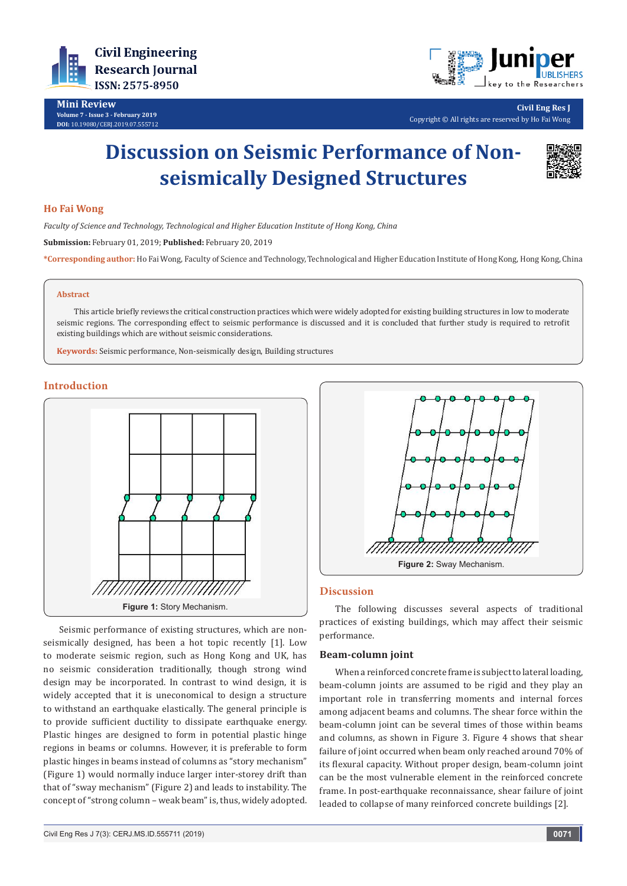

**Mini Review Volume 7 - Issue 3 - February 2019 DOI:** [10.19080/CERJ.2019.07.555712](http://dx.doi.org/10.19080/CERJ.2019.07.555712)



**Civil Eng Res J** Copyright © All rights are reserved by Ho Fai Wong

# **Discussion on Seismic Performance of Nonseismically Designed Structures**



## **Ho Fai Wong**

*Faculty of Science and Technology, Technological and Higher Education Institute of Hong Kong, China*

**Submission:** February 01, 2019; **Published:** February 20, 2019

**\*Corresponding author:** Ho Fai Wong, Faculty of Science and Technology, Technological and Higher Education Institute of Hong Kong, Hong Kong, China

#### **Abstract**

 This article briefly reviews the critical construction practices which were widely adopted for existing building structures in low to moderate seismic regions. The corresponding effect to seismic performance is discussed and it is concluded that further study is required to retrofit existing buildings which are without seismic considerations.

**Keywords:** Seismic performance, Non-seismically design, Building structures

## **Introduction**



Seismic performance of existing structures, which are nonseismically designed, has been a hot topic recently [1]. Low to moderate seismic region, such as Hong Kong and UK, has no seismic consideration traditionally, though strong wind design may be incorporated. In contrast to wind design, it is widely accepted that it is uneconomical to design a structure to withstand an earthquake elastically. The general principle is to provide sufficient ductility to dissipate earthquake energy. Plastic hinges are designed to form in potential plastic hinge regions in beams or columns. However, it is preferable to form plastic hinges in beams instead of columns as "story mechanism" (Figure 1) would normally induce larger inter-storey drift than that of "sway mechanism" (Figure 2) and leads to instability. The concept of "strong column – weak beam" is, thus, widely adopted.



#### **Discussion**

The following discusses several aspects of traditional practices of existing buildings, which may affect their seismic performance.

#### **Beam-column joint**

When a reinforced concrete frame is subject to lateral loading, beam-column joints are assumed to be rigid and they play an important role in transferring moments and internal forces among adjacent beams and columns. The shear force within the beam-column joint can be several times of those within beams and columns, as shown in Figure 3. Figure 4 shows that shear failure of joint occurred when beam only reached around 70% of its flexural capacity. Without proper design, beam-column joint can be the most vulnerable element in the reinforced concrete frame. In post-earthquake reconnaissance, shear failure of joint leaded to collapse of many reinforced concrete buildings [2].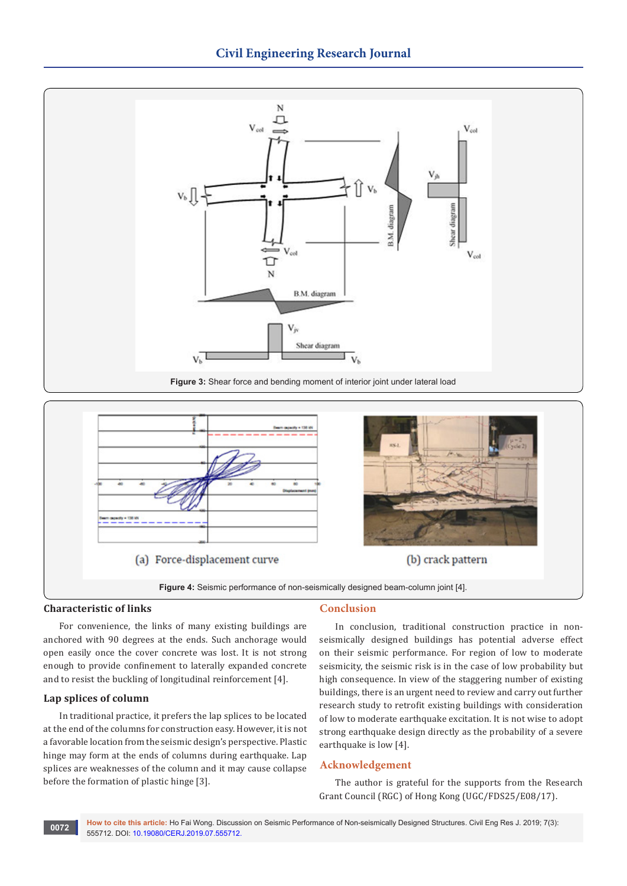



# **Characteristic of links**

For convenience, the links of many existing buildings are anchored with 90 degrees at the ends. Such anchorage would open easily once the cover concrete was lost. It is not strong enough to provide confinement to laterally expanded concrete and to resist the buckling of longitudinal reinforcement [4].

# **Lap splices of column**

In traditional practice, it prefers the lap splices to be located at the end of the columns for construction easy. However, it is not a favorable location from the seismic design's perspective. Plastic hinge may form at the ends of columns during earthquake. Lap splices are weaknesses of the column and it may cause collapse before the formation of plastic hinge [3].

# **Conclusion**

In conclusion, traditional construction practice in nonseismically designed buildings has potential adverse effect on their seismic performance. For region of low to moderate seismicity, the seismic risk is in the case of low probability but high consequence. In view of the staggering number of existing buildings, there is an urgent need to review and carry out further research study to retrofit existing buildings with consideration of low to moderate earthquake excitation. It is not wise to adopt strong earthquake design directly as the probability of a severe earthquake is low [4].

## **Acknowledgement**

The author is grateful for the supports from the Research Grant Council (RGC) of Hong Kong (UGC/FDS25/E08/17).